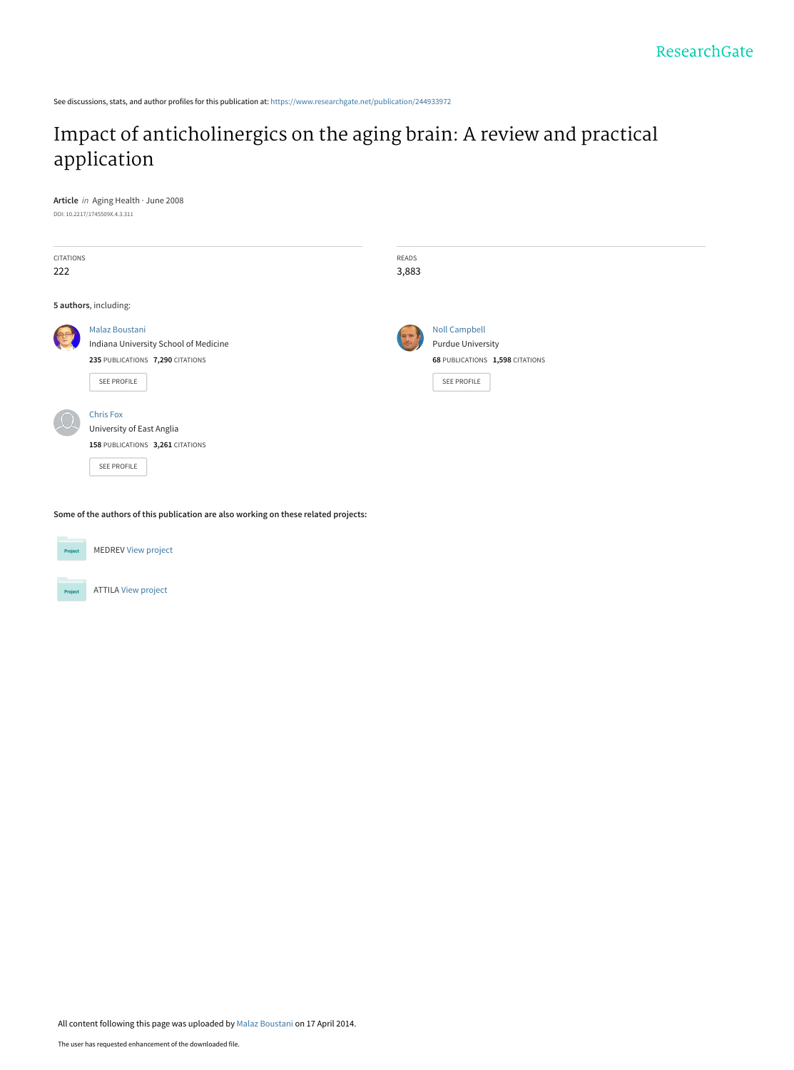See discussions, stats, and author profiles for this publication at: [https://www.researchgate.net/publication/244933972](https://www.researchgate.net/publication/244933972_Impact_of_anticholinergics_on_the_aging_brain_A_review_and_practical_application?enrichId=rgreq-6c41603d9f5e9bef4c4f1c4be9af19b3-XXX&enrichSource=Y292ZXJQYWdlOzI0NDkzMzk3MjtBUzoxMDMzNTE5MjAzNjU1NzBAMTQwMTY1MjQyNzczMQ%3D%3D&el=1_x_2&_esc=publicationCoverPdf)

## [Impact of anticholinergics on the aging brain: A review and practical](https://www.researchgate.net/publication/244933972_Impact_of_anticholinergics_on_the_aging_brain_A_review_and_practical_application?enrichId=rgreq-6c41603d9f5e9bef4c4f1c4be9af19b3-XXX&enrichSource=Y292ZXJQYWdlOzI0NDkzMzk3MjtBUzoxMDMzNTE5MjAzNjU1NzBAMTQwMTY1MjQyNzczMQ%3D%3D&el=1_x_3&_esc=publicationCoverPdf) application

**Article** in Aging Health · June 2008 DOI: 10.2217/1745509X.4.3.311

| <b>CITATIONS</b>      |                                       | READS |                                 |  |  |
|-----------------------|---------------------------------------|-------|---------------------------------|--|--|
| 222                   |                                       | 3,883 |                                 |  |  |
|                       |                                       |       |                                 |  |  |
| 5 authors, including: |                                       |       |                                 |  |  |
|                       | <b>Malaz Boustani</b>                 |       | <b>Noll Campbell</b>            |  |  |
|                       | Indiana University School of Medicine |       | <b>Purdue University</b>        |  |  |
|                       | 235 PUBLICATIONS 7,290 CITATIONS      |       | 68 PUBLICATIONS 1,598 CITATIONS |  |  |
|                       | SEE PROFILE                           |       | SEE PROFILE                     |  |  |
|                       |                                       |       |                                 |  |  |
|                       | <b>Chris Fox</b>                      |       |                                 |  |  |
|                       | University of East Anglia             |       |                                 |  |  |
|                       | 158 PUBLICATIONS 3,261 CITATIONS      |       |                                 |  |  |
|                       | <b>SEE PROFILE</b>                    |       |                                 |  |  |
|                       |                                       |       |                                 |  |  |

**Some of the authors of this publication are also working on these related projects:**



MEDREV [View project](https://www.researchgate.net/project/MEDREV?enrichId=rgreq-6c41603d9f5e9bef4c4f1c4be9af19b3-XXX&enrichSource=Y292ZXJQYWdlOzI0NDkzMzk3MjtBUzoxMDMzNTE5MjAzNjU1NzBAMTQwMTY1MjQyNzczMQ%3D%3D&el=1_x_9&_esc=publicationCoverPdf)

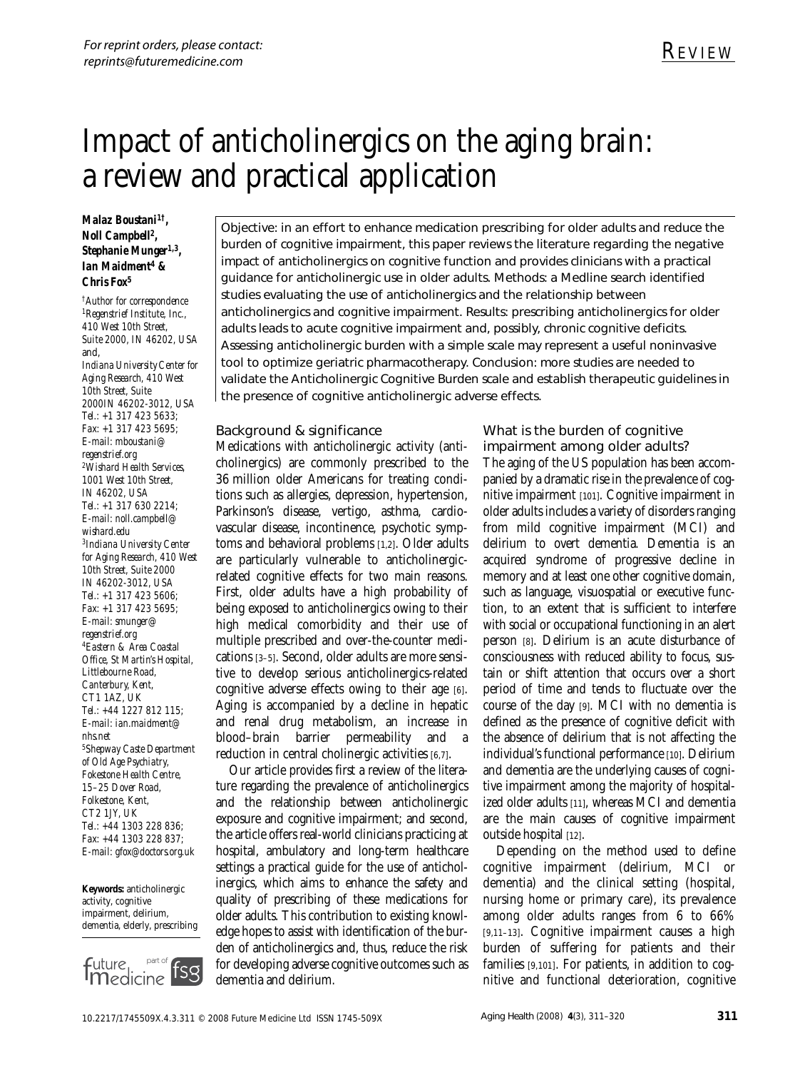# Impact of anticholinergics on the aging brain: a review and practical application

#### *Malaz Boustani1†, Noll Campbell2, Stephanie Munger1,3, Ian Maidment4 & Chris Fox5*

*†Author for correspondence 1Regenstrief Institute, Inc., 410 West 10th Street, Suite 2000, IN 46202, USA* and, *Indiana University Center for Aging Research, 410 West 10th Street, Suite 2000IN 46202-3012, USA Tel.: +1 317 423 5633; Fax: +1 317 423 5695; E-mail: mboustani@ regenstrief.org 2Wishard Health Services, 1001 West 10th Street, IN 46202, USA Tel.: +1 317 630 2214; E-mail: noll.campbell@ wishard.edu 3Indiana University Center for Aging Research, 410 West 10th Street, Suite 2000 IN 46202-3012, USA Tel.: +1 317 423 5606; Fax: +1 317 423 5695; E-mail: smunger@ regenstrief.org 4Eastern & Area Coastal Office, St Martin's Hospital, Littlebourne Road, Canterbury, Kent, CT1 1AZ, UK Tel.: +44 1227 812 115; E-mail: ian.maidment@ nhs.net 5Shepway Caste Department of Old Age Psychiatry, Fokestone Health Centre, 15–25 Dover Road, Folkestone, Kent, CT2 1JY, UK Tel.: +44 1303 228 836; Fax: +44 1303 228 837; E-mail: gfox@doctors.org.uk*

**Keywords:** anticholinergic activity, cognitive impairment, delirium, dementia, elderly, prescribing



Objective: in an effort to enhance medication prescribing for older adults and reduce the burden of cognitive impairment, this paper reviews the literature regarding the negative impact of anticholinergics on cognitive function and provides clinicians with a practical guidance for anticholinergic use in older adults. Methods: a Medline search identified studies evaluating the use of anticholinergics and the relationship between anticholinergics and cognitive impairment. Results: prescribing anticholinergics for older adults leads to acute cognitive impairment and, possibly, chronic cognitive deficits. Assessing anticholinergic burden with a simple scale may represent a useful noninvasive tool to optimize geriatric pharmacotherapy. Conclusion: more studies are needed to validate the Anticholinergic Cognitive Burden scale and establish therapeutic guidelines in the presence of cognitive anticholinergic adverse effects.

#### Background & significance

Medications with anticholinergic activity (anticholinergics) are commonly prescribed to the 36 million older Americans for treating conditions such as allergies, depression, hypertension, Parkinson's disease, vertigo, asthma, cardiovascular disease, incontinence, psychotic symptoms and behavioral problems [1,2]. Older adults are particularly vulnerable to anticholinergicrelated cognitive effects for two main reasons. First, older adults have a high probability of being exposed to anticholinergics owing to their high medical comorbidity and their use of multiple prescribed and over-the-counter medications [3–5]. Second, older adults are more sensitive to develop serious anticholinergics-related cognitive adverse effects owing to their age [6]. Aging is accompanied by a decline in hepatic and renal drug metabolism, an increase in blood–brain barrier permeability and a reduction in central cholinergic activities [6,7].

Our article provides first a review of the literature regarding the prevalence of anticholinergics and the relationship between anticholinergic exposure and cognitive impairment; and second, the article offers real-world clinicians practicing at hospital, ambulatory and long-term healthcare settings a practical guide for the use of anticholinergics, which aims to enhance the safety and quality of prescribing of these medications for older adults. This contribution to existing knowledge hopes to assist with identification of the burden of anticholinergics and, thus, reduce the risk for developing adverse cognitive outcomes such as dementia and delirium.

What is the burden of cognitive impairment among older adults? The aging of the US population has been accompanied by a dramatic rise in the prevalence of cognitive impairment [101]. Cognitive impairment in older adults includes a variety of disorders ranging from mild cognitive impairment (MCI) and delirium to overt dementia. Dementia is an acquired syndrome of progressive decline in memory and at least one other cognitive domain, such as language, visuospatial or executive function, to an extent that is sufficient to interfere with social or occupational functioning in an alert person [8]. Delirium is an acute disturbance of consciousness with reduced ability to focus, sustain or shift attention that occurs over a short period of time and tends to fluctuate over the course of the day [9]. MCI with no dementia is defined as the presence of cognitive deficit with the absence of delirium that is not affecting the individual's functional performance [10]. Delirium and dementia are the underlying causes of cognitive impairment among the majority of hospitalized older adults [11], whereas MCI and dementia are the main causes of cognitive impairment outside hospital [12].

Depending on the method used to define cognitive impairment (delirium, MCI or dementia) and the clinical setting (hospital, nursing home or primary care), its prevalence among older adults ranges from 6 to 66% [9,11–13]. Cognitive impairment causes a high burden of suffering for patients and their families [9,101]. For patients, in addition to cognitive and functional deterioration, cognitive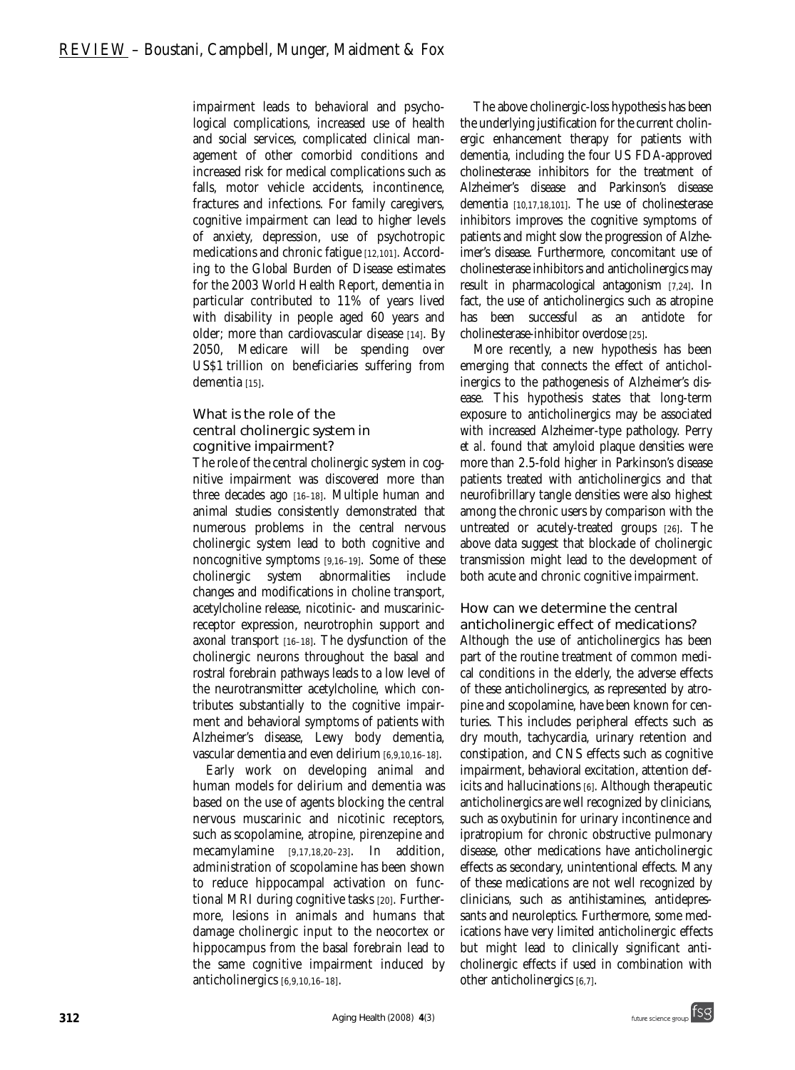impairment leads to behavioral and psychological complications, increased use of health and social services, complicated clinical management of other comorbid conditions and increased risk for medical complications such as falls, motor vehicle accidents, incontinence, fractures and infections. For family caregivers, cognitive impairment can lead to higher levels of anxiety, depression, use of psychotropic medications and chronic fatigue [12,101]. According to the Global Burden of Disease estimates for the 2003 World Health Report, dementia in particular contributed to 11% of years lived with disability in people aged 60 years and older; more than cardiovascular disease [14]. By 2050, Medicare will be spending over US\$1 trillion on beneficiaries suffering from dementia [15].

#### What is the role of the central cholinergic system in cognitive impairment?

The role of the central cholinergic system in cognitive impairment was discovered more than three decades ago [16–18]. Multiple human and animal studies consistently demonstrated that numerous problems in the central nervous cholinergic system lead to both cognitive and noncognitive symptoms [9,16–19]. Some of these cholinergic system abnormalities include changes and modifications in choline transport, acetylcholine release, nicotinic- and muscarinicreceptor expression, neurotrophin support and axonal transport [16–18]. The dysfunction of the cholinergic neurons throughout the basal and rostral forebrain pathways leads to a low level of the neurotransmitter acetylcholine, which contributes substantially to the cognitive impairment and behavioral symptoms of patients with Alzheimer's disease, Lewy body dementia, vascular dementia and even delirium [6,9,10,16–18].

Early work on developing animal and human models for delirium and dementia was based on the use of agents blocking the central nervous muscarinic and nicotinic receptors, such as scopolamine, atropine, pirenzepine and mecamylamine [9,17,18,20–23]. In addition, administration of scopolamine has been shown to reduce hippocampal activation on functional MRI during cognitive tasks [20]. Furthermore, lesions in animals and humans that damage cholinergic input to the neocortex or hippocampus from the basal forebrain lead to the same cognitive impairment induced by anticholinergics [6,9,10,16–18].

The above cholinergic-loss hypothesis has been the underlying justification for the current cholinergic enhancement therapy for patients with dementia, including the four US FDA-approved cholinesterase inhibitors for the treatment of Alzheimer's disease and Parkinson's disease dementia [10,17,18,101]. The use of cholinesterase inhibitors improves the cognitive symptoms of patients and might slow the progression of Alzheimer's disease. Furthermore, concomitant use of cholinesterase inhibitors and anticholinergics may result in pharmacological antagonism [7,24]. In fact, the use of anticholinergics such as atropine has been successful as an antidote for cholinesterase-inhibitor overdose [25].

More recently, a new hypothesis has been emerging that connects the effect of anticholinergics to the pathogenesis of Alzheimer's disease. This hypothesis states that long-term exposure to anticholinergics may be associated with increased Alzheimer-type pathology. Perry *et al.* found that amyloid plaque densities were more than 2.5-fold higher in Parkinson's disease patients treated with anticholinergics and that neurofibrillary tangle densities were also highest among the chronic users by comparison with the untreated or acutely-treated groups [26]. The above data suggest that blockade of cholinergic transmission might lead to the development of both acute and chronic cognitive impairment.

### How can we determine the central

anticholinergic effect of medications? Although the use of anticholinergics has been part of the routine treatment of common medical conditions in the elderly, the adverse effects of these anticholinergics, as represented by atropine and scopolamine, have been known for centuries. This includes peripheral effects such as dry mouth, tachycardia, urinary retention and constipation, and CNS effects such as cognitive impairment, behavioral excitation, attention deficits and hallucinations [6]. Although therapeutic anticholinergics are well recognized by clinicians, such as oxybutinin for urinary incontinence and ipratropium for chronic obstructive pulmonary disease, other medications have anticholinergic effects as secondary, unintentional effects. Many of these medications are not well recognized by clinicians, such as antihistamines, antidepressants and neuroleptics. Furthermore, some medications have very limited anticholinergic effects but might lead to clinically significant anticholinergic effects if used in combination with other anticholinergics [6,7].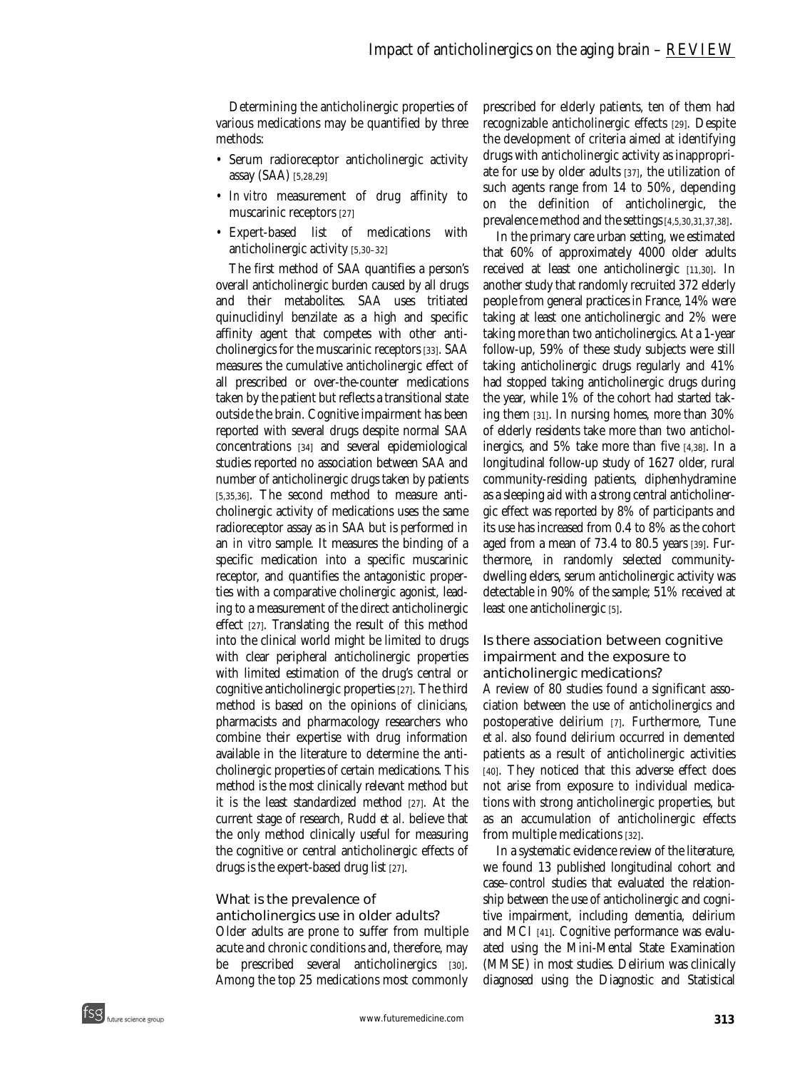Determining the anticholinergic properties of various medications may be quantified by three methods:

- Serum radioreceptor anticholinergic activity assay (SAA) [5,28,29]
- *In vitro* measurement of drug affinity to muscarinic receptors [27]
- Expert-based list of medications with anticholinergic activity [5,30–32]

The first method of SAA quantifies a person's overall anticholinergic burden caused by all drugs and their metabolites. SAA uses tritiated quinuclidinyl benzilate as a high and specific affinity agent that competes with other anticholinergics for the muscarinic receptors [33]. SAA measures the cumulative anticholinergic effect of all prescribed or over-the-counter medications taken by the patient but reflects a transitional state outside the brain. Cognitive impairment has been reported with several drugs despite normal SAA concentrations [34] and several epidemiological studies reported no association between SAA and number of anticholinergic drugs taken by patients [5,35,36]. The second method to measure anticholinergic activity of medications uses the same radioreceptor assay as in SAA but is performed in an *in vitro* sample. It measures the binding of a specific medication into a specific muscarinic receptor, and quantifies the antagonistic properties with a comparative cholinergic agonist, leading to a measurement of the direct anticholinergic effect [27]. Translating the result of this method into the clinical world might be limited to drugs with clear peripheral anticholinergic properties with limited estimation of the drug's central or cognitive anticholinergic properties [27]. The third method is based on the opinions of clinicians, pharmacists and pharmacology researchers who combine their expertise with drug information available in the literature to determine the anticholinergic properties of certain medications. This method is the most clinically relevant method but it is the least standardized method [27]. At the current stage of research, Rudd *et al.* believe that the only method clinically useful for measuring the cognitive or central anticholinergic effects of drugs is the expert-based drug list [27].

#### What is the prevalence of

anticholinergics use in older adults? Older adults are prone to suffer from multiple acute and chronic conditions and, therefore, may be prescribed several anticholinergics [30]. Among the top 25 medications most commonly

prescribed for elderly patients, ten of them had recognizable anticholinergic effects [29]. Despite the development of criteria aimed at identifying drugs with anticholinergic activity as inappropriate for use by older adults [37], the utilization of such agents range from 14 to 50%, depending on the definition of anticholinergic, the prevalence method and the settings [4,5,30,31,37,38].

In the primary care urban setting, we estimated that 60% of approximately 4000 older adults received at least one anticholinergic [11,30]. In another study that randomly recruited 372 elderly people from general practices in France, 14% were taking at least one anticholinergic and 2% were taking more than two anticholinergics. At a 1-year follow-up, 59% of these study subjects were still taking anticholinergic drugs regularly and 41% had stopped taking anticholinergic drugs during the year, while 1% of the cohort had started taking them [31]. In nursing homes, more than 30% of elderly residents take more than two anticholinergics, and 5% take more than five [4,38]. In a longitudinal follow-up study of 1627 older, rural community-residing patients, diphenhydramine as a sleeping aid with a strong central anticholinergic effect was reported by 8% of participants and its use has increased from 0.4 to 8% as the cohort aged from a mean of 73.4 to 80.5 years [39]. Furthermore, in randomly selected communitydwelling elders, serum anticholinergic activity was detectable in 90% of the sample; 51% received at least one anticholinergic [5].

#### Is there association between cognitive impairment and the exposure to anticholinergic medications?

A review of 80 studies found a significant association between the use of anticholinergics and postoperative delirium [7]. Furthermore, Tune *et al.* also found delirium occurred in demented patients as a result of anticholinergic activities [40]. They noticed that this adverse effect does not arise from exposure to individual medications with strong anticholinergic properties, but as an accumulation of anticholinergic effects from multiple medications [32].

In a systematic evidence review of the literature, we found 13 published longitudinal cohort and case–control studies that evaluated the relationship between the use of anticholinergic and cognitive impairment, including dementia, delirium and MCI [41]. Cognitive performance was evaluated using the Mini-Mental State Examination (MMSE) in most studies. Delirium was clinically diagnosed using the Diagnostic and Statistical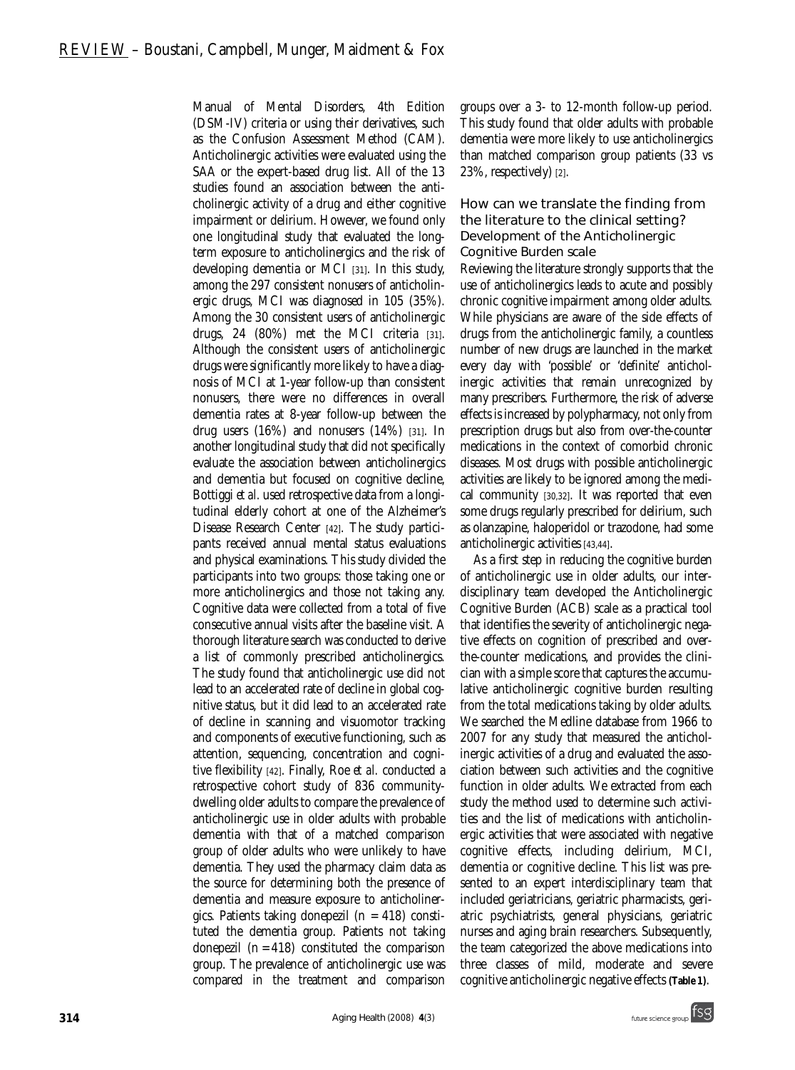Manual of Mental Disorders, 4th Edition (DSM-IV) criteria or using their derivatives, such as the Confusion Assessment Method (CAM). Anticholinergic activities were evaluated using the SAA or the expert-based drug list. All of the 13 studies found an association between the anticholinergic activity of a drug and either cognitive impairment or delirium. However, we found only one longitudinal study that evaluated the longterm exposure to anticholinergics and the risk of developing dementia or MCI [31]. In this study, among the 297 consistent nonusers of anticholinergic drugs, MCI was diagnosed in 105 (35%). Among the 30 consistent users of anticholinergic drugs, 24 (80%) met the MCI criteria [31]. Although the consistent users of anticholinergic drugs were significantly more likely to have a diagnosis of MCI at 1-year follow-up than consistent nonusers, there were no differences in overall dementia rates at 8-year follow-up between the drug users  $(16%)$  and nonusers  $(14%)$  [31]. In another longitudinal study that did not specifically evaluate the association between anticholinergics and dementia but focused on cognitive decline, Bottiggi *et al.* used retrospective data from a longitudinal elderly cohort at one of the Alzheimer's Disease Research Center [42]. The study participants received annual mental status evaluations and physical examinations. This study divided the participants into two groups: those taking one or more anticholinergics and those not taking any. Cognitive data were collected from a total of five consecutive annual visits after the baseline visit. A thorough literature search was conducted to derive a list of commonly prescribed anticholinergics. The study found that anticholinergic use did not lead to an accelerated rate of decline in global cognitive status, but it did lead to an accelerated rate of decline in scanning and visuomotor tracking and components of executive functioning, such as attention, sequencing, concentration and cognitive flexibility [42]. Finally, Roe *et al.* conducted a retrospective cohort study of 836 communitydwelling older adults to compare the prevalence of anticholinergic use in older adults with probable dementia with that of a matched comparison group of older adults who were unlikely to have dementia. They used the pharmacy claim data as the source for determining both the presence of dementia and measure exposure to anticholinergics. Patients taking donepezil  $(n = 418)$  constituted the dementia group. Patients not taking donepezil  $(n = 418)$  constituted the comparison group. The prevalence of anticholinergic use was compared in the treatment and comparison

groups over a 3- to 12-month follow-up period. This study found that older adults with probable dementia were more likely to use anticholinergics than matched comparison group patients (33 vs 23%, respectively) [2].

#### How can we translate the finding from the literature to the clinical setting? *Development of the Anticholinergic Cognitive Burden scale*

Reviewing the literature strongly supports that the use of anticholinergics leads to acute and possibly chronic cognitive impairment among older adults. While physicians are aware of the side effects of drugs from the anticholinergic family, a countless number of new drugs are launched in the market every day with 'possible' or 'definite' anticholinergic activities that remain unrecognized by many prescribers. Furthermore, the risk of adverse effects is increased by polypharmacy, not only from prescription drugs but also from over-the-counter medications in the context of comorbid chronic diseases. Most drugs with possible anticholinergic activities are likely to be ignored among the medical community [30,32]. It was reported that even some drugs regularly prescribed for delirium, such as olanzapine, haloperidol or trazodone, had some anticholinergic activities [43,44].

As a first step in reducing the cognitive burden of anticholinergic use in older adults, our interdisciplinary team developed the Anticholinergic Cognitive Burden (ACB) scale as a practical tool that identifies the severity of anticholinergic negative effects on cognition of prescribed and overthe-counter medications, and provides the clinician with a simple score that captures the accumulative anticholinergic cognitive burden resulting from the total medications taking by older adults. We searched the Medline database from 1966 to 2007 for any study that measured the anticholinergic activities of a drug and evaluated the association between such activities and the cognitive function in older adults. We extracted from each study the method used to determine such activities and the list of medications with anticholinergic activities that were associated with negative cognitive effects, including delirium, MCI, dementia or cognitive decline. This list was presented to an expert interdisciplinary team that included geriatricians, geriatric pharmacists, geriatric psychiatrists, general physicians, geriatric nurses and aging brain researchers. Subsequently, the team categorized the above medications into three classes of mild, moderate and severe cognitive anticholinergic negative effects **(Table 1)**.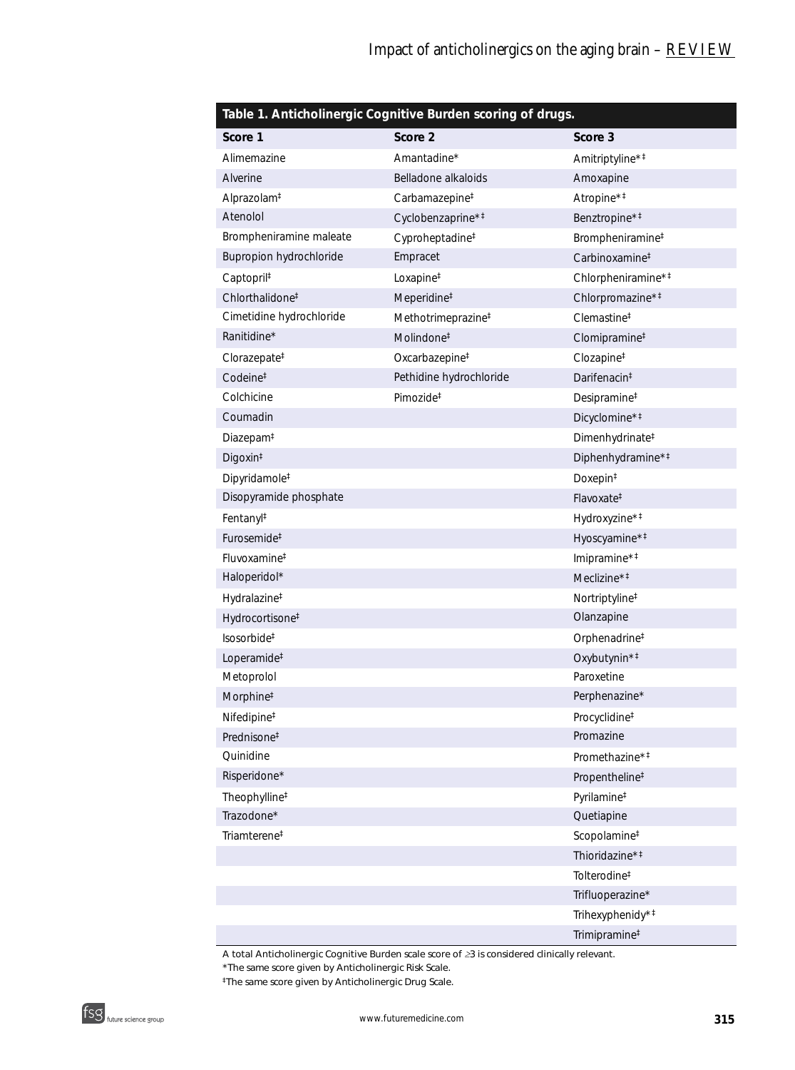| Table 1. Anticholinergic Cognitive Burden scoring of drugs. |                                |                                                |  |  |  |
|-------------------------------------------------------------|--------------------------------|------------------------------------------------|--|--|--|
| Score 1                                                     | Score 2                        | Score 3                                        |  |  |  |
| Alimemazine                                                 | Amantadine*                    | Amitriptyline* <sup>#</sup>                    |  |  |  |
| Alverine                                                    | Belladone alkaloids            | Amoxapine                                      |  |  |  |
| Alprazolam <sup>‡</sup>                                     | Carbamazepine <sup>#</sup>     | Atropine* <sup>#</sup>                         |  |  |  |
| Atenolol                                                    | Cyclobenzaprine* <sup>#</sup>  | Benztropine* <sup>#</sup>                      |  |  |  |
| Brompheniramine maleate                                     | Cyproheptadine <sup>#</sup>    | Brompheniramine <sup>#</sup>                   |  |  |  |
| Bupropion hydrochloride                                     | Empracet                       | Carbinoxamine <sup>#</sup>                     |  |  |  |
| Captopril <sup>‡</sup>                                      | Loxapine <sup>#</sup>          | Chlorpheniramine* <sup>#</sup>                 |  |  |  |
| Chlorthalidone <sup>#</sup>                                 | Meperidine <sup>#</sup>        | Chlorpromazine* <sup>#</sup>                   |  |  |  |
| Cimetidine hydrochloride                                    | Methotrimeprazine <sup>#</sup> | Clemastine <sup>#</sup>                        |  |  |  |
| Ranitidine*                                                 | Molindone <sup>‡</sup>         | Clomipramine <sup>#</sup>                      |  |  |  |
| Clorazepate <sup>#</sup>                                    | Oxcarbazepine <sup>#</sup>     | Clozapine <sup>#</sup>                         |  |  |  |
| Codeine <sup>#</sup>                                        | Pethidine hydrochloride        | Darifenacin <sup>‡</sup>                       |  |  |  |
| Colchicine                                                  | Pimozide <sup>‡</sup>          | Desipramine <sup>#</sup>                       |  |  |  |
| Coumadin                                                    |                                | Dicyclomine* <sup>#</sup>                      |  |  |  |
| Diazepam <sup>#</sup>                                       |                                | Dimenhydrinate <sup>#</sup>                    |  |  |  |
| Digoxin <sup>#</sup>                                        |                                | Diphenhydramine* <sup>#</sup>                  |  |  |  |
| Dipyridamole <sup>#</sup>                                   |                                | Doxepin <sup>‡</sup>                           |  |  |  |
| Disopyramide phosphate                                      |                                | Flavoxate <sup>#</sup>                         |  |  |  |
| Fentanyl <sup>#</sup>                                       |                                | Hydroxyzine* <sup>#</sup>                      |  |  |  |
| Furosemide <sup>‡</sup>                                     |                                | Hyoscyamine* <sup>#</sup>                      |  |  |  |
| Fluvoxamine <sup>#</sup>                                    |                                | Imipramine* <sup>‡</sup>                       |  |  |  |
| Haloperidol*                                                |                                | Meclizine $*$ <sup><math>\ddagger</math></sup> |  |  |  |
| Hydralazine <sup>#</sup>                                    |                                | Nortriptyline <sup>#</sup>                     |  |  |  |
| Hydrocortisone <sup>#</sup>                                 |                                | Olanzapine                                     |  |  |  |
| Isosorbide <sup>#</sup>                                     |                                | Orphenadrine <sup>#</sup>                      |  |  |  |
| Loperamide <sup>#</sup>                                     |                                | Oxybutynin* <sup>‡</sup>                       |  |  |  |
| Metoprolol                                                  |                                | Paroxetine                                     |  |  |  |
| Morphine <sup>#</sup>                                       |                                | Perphenazine*                                  |  |  |  |
| Nifedipine <sup>#</sup>                                     |                                | Procyclidine <sup>#</sup>                      |  |  |  |
| Prednisone <sup>‡</sup>                                     |                                | Promazine                                      |  |  |  |
| Quinidine                                                   |                                | Promethazine* <sup>#</sup>                     |  |  |  |
| Risperidone*                                                |                                | Propentheline <sup>‡</sup>                     |  |  |  |
| Theophylline <sup>#</sup>                                   |                                | Pyrilamine <sup>#</sup>                        |  |  |  |
| Trazodone*                                                  |                                | Quetiapine                                     |  |  |  |
| Triamterene <sup>#</sup>                                    |                                | Scopolamine <sup>#</sup>                       |  |  |  |
|                                                             |                                | Thioridazine* <sup>‡</sup>                     |  |  |  |
|                                                             |                                | Tolterodine <sup>#</sup>                       |  |  |  |
|                                                             |                                | Trifluoperazine*                               |  |  |  |
|                                                             |                                | Trihexyphenidy* <sup>#</sup>                   |  |  |  |
|                                                             |                                | Trimipramine <sup>#</sup>                      |  |  |  |

*A total Anticholinergic Cognitive Burden scale score of* ≥*3 is considered clinically relevant.* 

*\*The same score given by Anticholinergic Risk Scale.* 

*‡The same score given by Anticholinergic Drug Scale.*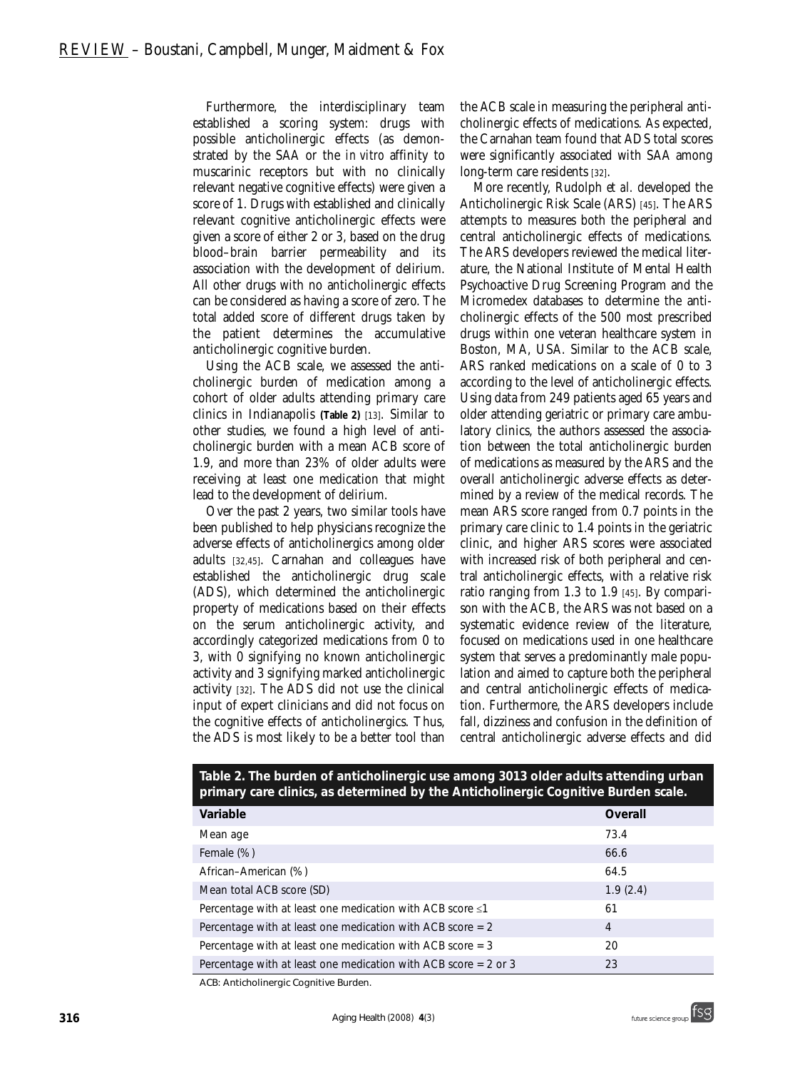Furthermore, the interdisciplinary team established a scoring system: drugs with possible anticholinergic effects (as demonstrated by the SAA or the *in vitro* affinity to muscarinic receptors but with no clinically relevant negative cognitive effects) were given a score of 1. Drugs with established and clinically relevant cognitive anticholinergic effects were given a score of either 2 or 3, based on the drug blood–brain barrier permeability and its association with the development of delirium. All other drugs with no anticholinergic effects can be considered as having a score of zero. The total added score of different drugs taken by the patient determines the accumulative anticholinergic cognitive burden.

Using the ACB scale, we assessed the anticholinergic burden of medication among a cohort of older adults attending primary care clinics in Indianapolis **(Table 2)** [13]. Similar to other studies, we found a high level of anticholinergic burden with a mean ACB score of 1.9, and more than 23% of older adults were receiving at least one medication that might lead to the development of delirium.

Over the past 2 years, two similar tools have been published to help physicians recognize the adverse effects of anticholinergics among older adults [32,45]. Carnahan and colleagues have established the anticholinergic drug scale (ADS), which determined the anticholinergic property of medications based on their effects on the serum anticholinergic activity, and accordingly categorized medications from 0 to 3, with 0 signifying no known anticholinergic activity and 3 signifying marked anticholinergic activity [32]. The ADS did not use the clinical input of expert clinicians and did not focus on the cognitive effects of anticholinergics. Thus, the ADS is most likely to be a better tool than

the ACB scale in measuring the peripheral anticholinergic effects of medications. As expected, the Carnahan team found that ADS total scores were significantly associated with SAA among long-term care residents [32].

More recently, Rudolph *et al.* developed the Anticholinergic Risk Scale (ARS) [45]. The ARS attempts to measures both the peripheral and central anticholinergic effects of medications. The ARS developers reviewed the medical literature, the National Institute of Mental Health Psychoactive Drug Screening Program and the Micromedex databases to determine the anticholinergic effects of the 500 most prescribed drugs within one veteran healthcare system in Boston, MA, USA. Similar to the ACB scale, ARS ranked medications on a scale of 0 to 3 according to the level of anticholinergic effects. Using data from 249 patients aged 65 years and older attending geriatric or primary care ambulatory clinics, the authors assessed the association between the total anticholinergic burden of medications as measured by the ARS and the overall anticholinergic adverse effects as determined by a review of the medical records. The mean ARS score ranged from 0.7 points in the primary care clinic to 1.4 points in the geriatric clinic, and higher ARS scores were associated with increased risk of both peripheral and central anticholinergic effects, with a relative risk ratio ranging from 1.3 to 1.9 [45]. By comparison with the ACB, the ARS was not based on a systematic evidence review of the literature, focused on medications used in one healthcare system that serves a predominantly male population and aimed to capture both the peripheral and central anticholinergic effects of medication. Furthermore, the ARS developers include fall, dizziness and confusion in the definition of central anticholinergic adverse effects and did

| primary care cirrics, as determined by the Anticholine dic countrye builder scale. |          |  |  |  |
|------------------------------------------------------------------------------------|----------|--|--|--|
| Variable                                                                           | Overall  |  |  |  |
| Mean age                                                                           | 73.4     |  |  |  |
| Female (%)                                                                         | 66.6     |  |  |  |
| African-American (%)                                                               | 64.5     |  |  |  |
| Mean total ACB score (SD)                                                          | 1.9(2.4) |  |  |  |
| Percentage with at least one medication with ACB score $\leq 1$                    | 61       |  |  |  |
| Percentage with at least one medication with ACB score $= 2$                       | 4        |  |  |  |
| Percentage with at least one medication with ACB score $=$ 3                       | 20       |  |  |  |
| Percentage with at least one medication with ACB score $= 2$ or 3                  | 23       |  |  |  |

**Table 2. The burden of anticholinergic use among 3013 older adults attending urban primary care clinics, as determined by the Anticholinergic Cognitive Burden scale.**

*ACB: Anticholinergic Cognitive Burden.*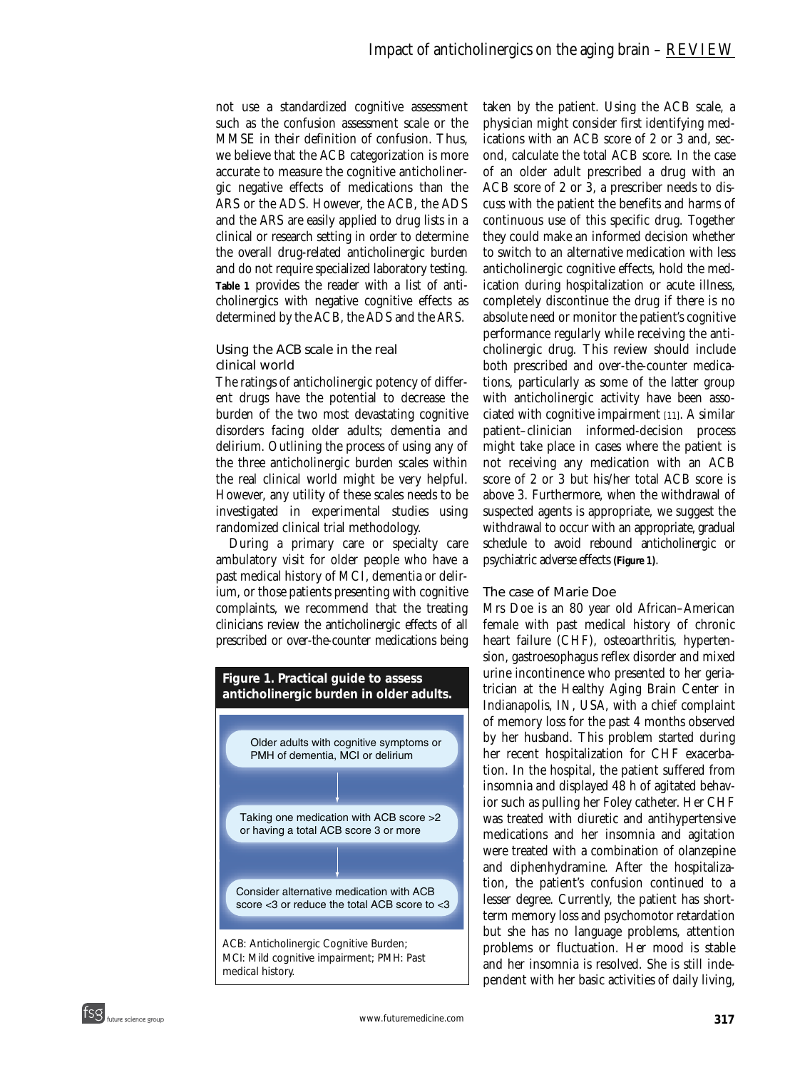not use a standardized cognitive assessment such as the confusion assessment scale or the MMSE in their definition of confusion. Thus, we believe that the ACB categorization is more accurate to measure the cognitive anticholinergic negative effects of medications than the ARS or the ADS. However, the ACB, the ADS and the ARS are easily applied to drug lists in a clinical or research setting in order to determine the overall drug-related anticholinergic burden and do not require specialized laboratory testing. **Table 1** provides the reader with a list of anticholinergics with negative cognitive effects as determined by the ACB, the ADS and the ARS.

#### *Using the ACB scale in the real clinical world*

The ratings of anticholinergic potency of different drugs have the potential to decrease the burden of the two most devastating cognitive disorders facing older adults; dementia and delirium. Outlining the process of using any of the three anticholinergic burden scales within the real clinical world might be very helpful. However, any utility of these scales needs to be investigated in experimental studies using randomized clinical trial methodology.

During a primary care or specialty care ambulatory visit for older people who have a past medical history of MCI, dementia or delirium, or those patients presenting with cognitive complaints, we recommend that the treating clinicians review the anticholinergic effects of all prescribed or over-the-counter medications being



taken by the patient. Using the ACB scale, a physician might consider first identifying medications with an ACB score of 2 or 3 and, second, calculate the total ACB score. In the case of an older adult prescribed a drug with an ACB score of 2 or 3, a prescriber needs to discuss with the patient the benefits and harms of continuous use of this specific drug. Together they could make an informed decision whether to switch to an alternative medication with less anticholinergic cognitive effects, hold the medication during hospitalization or acute illness, completely discontinue the drug if there is no absolute need or monitor the patient's cognitive performance regularly while receiving the anticholinergic drug. This review should include both prescribed and over-the-counter medications, particularly as some of the latter group with anticholinergic activity have been associated with cognitive impairment [11]. A similar patient–clinician informed-decision process might take place in cases where the patient is not receiving any medication with an ACB score of 2 or 3 but his/her total ACB score is above 3. Furthermore, when the withdrawal of suspected agents is appropriate, we suggest the withdrawal to occur with an appropriate, gradual schedule to avoid rebound anticholinergic or psychiatric adverse effects **(Figure 1)**.

#### *The case of Marie Doe*

Mrs Doe is an 80 year old African–American female with past medical history of chronic heart failure (CHF), osteoarthritis, hypertension, gastroesophagus reflex disorder and mixed urine incontinence who presented to her geriatrician at the Healthy Aging Brain Center in Indianapolis, IN, USA, with a chief complaint of memory loss for the past 4 months observed by her husband. This problem started during her recent hospitalization for CHF exacerbation. In the hospital, the patient suffered from insomnia and displayed 48 h of agitated behavior such as pulling her Foley catheter. Her CHF was treated with diuretic and antihypertensive medications and her insomnia and agitation were treated with a combination of olanzepine and diphenhydramine. After the hospitalization, the patient's confusion continued to a lesser degree. Currently, the patient has shortterm memory loss and psychomotor retardation but she has no language problems, attention problems or fluctuation. Her mood is stable and her insomnia is resolved. She is still independent with her basic activities of daily living,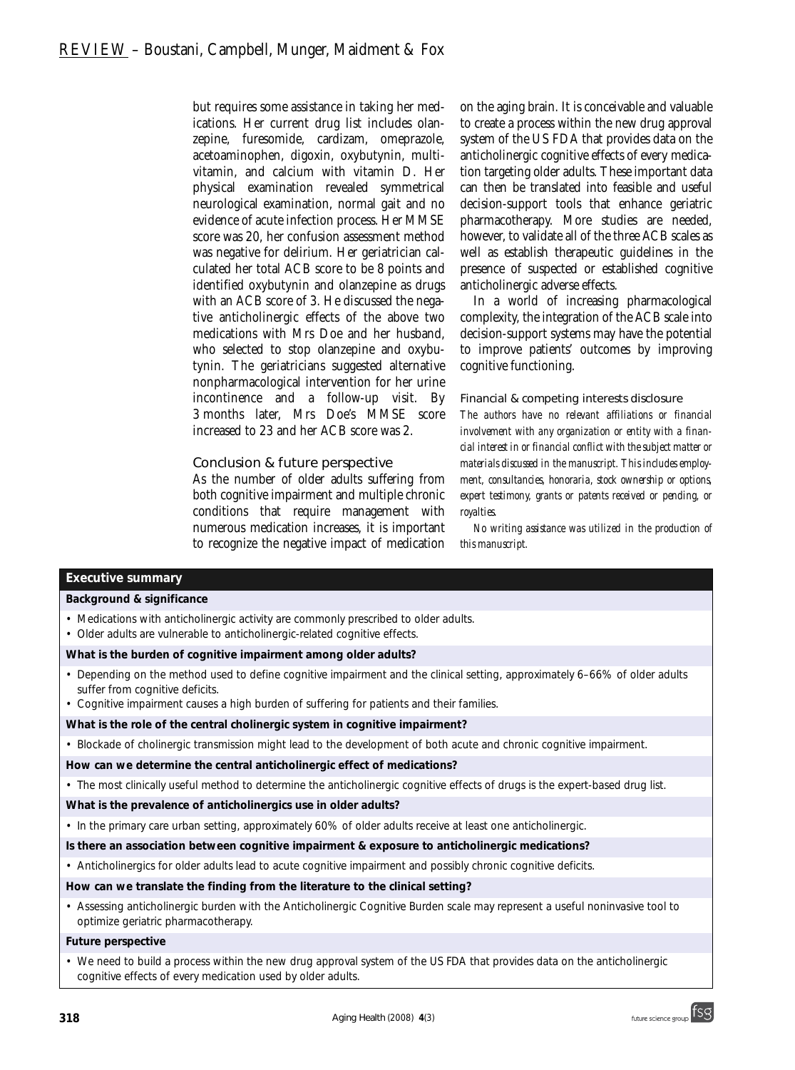but requires some assistance in taking her medications. Her current drug list includes olanzepine, furesomide, cardizam, omeprazole, acetoaminophen, digoxin, oxybutynin, multivitamin, and calcium with vitamin D. Her physical examination revealed symmetrical neurological examination, normal gait and no evidence of acute infection process. Her MMSE score was 20, her confusion assessment method was negative for delirium. Her geriatrician calculated her total ACB score to be 8 points and identified oxybutynin and olanzepine as drugs with an ACB score of 3. He discussed the negative anticholinergic effects of the above two medications with Mrs Doe and her husband, who selected to stop olanzepine and oxybutynin. The geriatricians suggested alternative nonpharmacological intervention for her urine incontinence and a follow-up visit. By 3 months later, Mrs Doe's MMSE score increased to 23 and her ACB score was 2.

#### Conclusion & future perspective

As the number of older adults suffering from both cognitive impairment and multiple chronic conditions that require management with numerous medication increases, it is important to recognize the negative impact of medication

on the aging brain. It is conceivable and valuable to create a process within the new drug approval system of the US FDA that provides data on the anticholinergic cognitive effects of every medication targeting older adults. These important data can then be translated into feasible and useful decision-support tools that enhance geriatric pharmacotherapy. More studies are needed, however, to validate all of the three ACB scales as well as establish therapeutic guidelines in the presence of suspected or established cognitive anticholinergic adverse effects.

In a world of increasing pharmacological complexity, the integration of the ACB scale into decision-support systems may have the potential to improve patients' outcomes by improving cognitive functioning.

#### Financial & competing interests disclosure

*The authors have no relevant affiliations or financial involvement with any organization or entity with a financial interest in or financial conflict with the subject matter or materials discussed in the manuscript. This includes employment, consultancies, honoraria, stock ownership or options, expert testimony, grants or patents received or pending, or royalties.* 

*No writing assistance was utilized in the production of this manuscript.*

#### **Executive summary**

#### *Background & significance*

- Medications with anticholinergic activity are commonly prescribed to older adults.
- Older adults are vulnerable to anticholinergic-related cognitive effects.

#### *What is the burden of cognitive impairment among older adults?*

- Depending on the method used to define cognitive impairment and the clinical setting, approximately 6–66% of older adults suffer from cognitive deficits.
- Cognitive impairment causes a high burden of suffering for patients and their families.

#### *What is the role of the central cholinergic system in cognitive impairment?*

• Blockade of cholinergic transmission might lead to the development of both acute and chronic cognitive impairment.

#### *How can we determine the central anticholinergic effect of medications?*

• The most clinically useful method to determine the anticholinergic cognitive effects of drugs is the expert-based drug list.

#### *What is the prevalence of anticholinergics use in older adults?*

• In the primary care urban setting, approximately 60% of older adults receive at least one anticholinergic.

#### *Is there an association between cognitive impairment & exposure to anticholinergic medications?*

• Anticholinergics for older adults lead to acute cognitive impairment and possibly chronic cognitive deficits.

#### *How can we translate the finding from the literature to the clinical setting?*

• Assessing anticholinergic burden with the Anticholinergic Cognitive Burden scale may represent a useful noninvasive tool to optimize geriatric pharmacotherapy.

#### *Future perspective*

• We need to build a process within the new drug approval system of the US FDA that provides data on the anticholinergic cognitive effects of every medication used by older adults.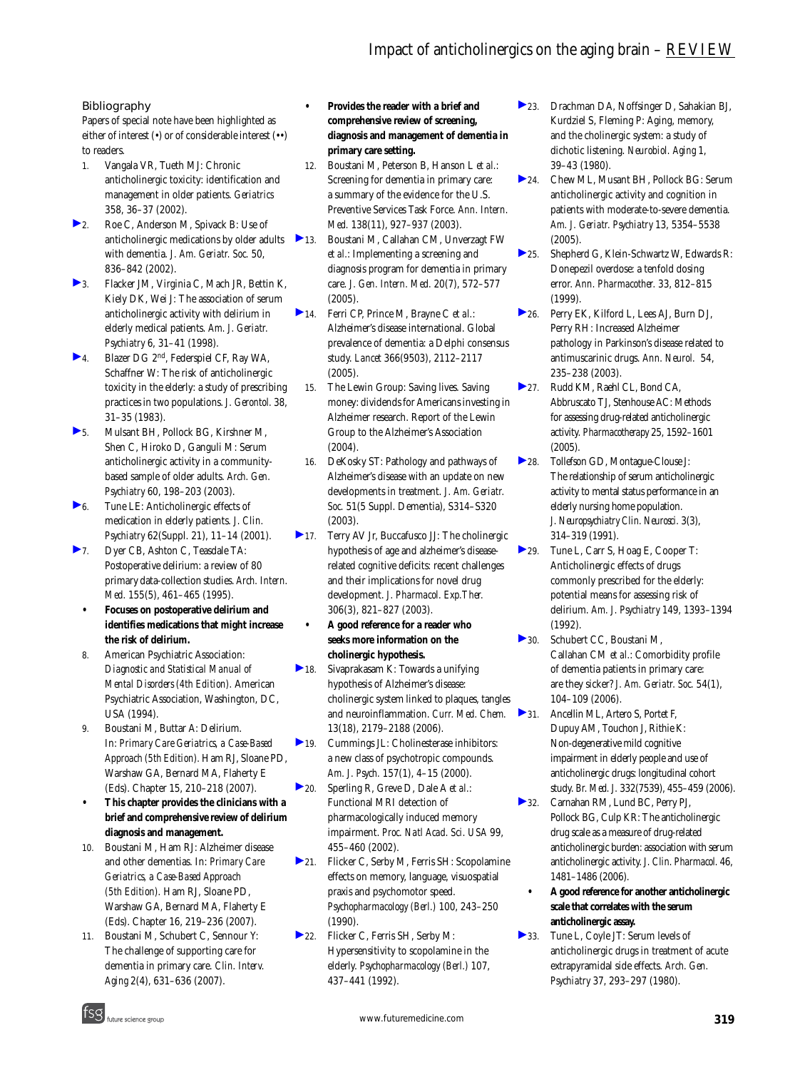#### Bibliography

Papers of special note have been highlighted as either of interest (•) or of considerable interest (••) to readers.

- 1. Vangala VR, Tueth MJ: Chronic anticholinergic toxicity: identification and management in older patients. *Geriatrics* 358, 36–37 (2002).
- ▶ 2. Roe C, Anderson M, Spivack B: Use of anticholinergic medications by older adults with dementia. *J. Am. Geriatr. Soc.* 50, 836–842 (2002).
- 3. Flacker JM, Virginia C, Mach JR, Bettin K, Kiely DK, Wei J: The association of serum anticholinergic activity with delirium in elderly medical patients. *Am. J. Geriatr. Psychiatry* 6, 31–41 (1998).
- 4. Blazer DG 2nd, Federspiel CF, Ray WA, Schaffner W: The risk of anticholinergic toxicity in the elderly: a study of prescribing practices in two populations. *J. Gerontol.* 38, 31–35 (1983).
- 5. Mulsant BH, Pollock BG, Kirshner M, Shen C, Hiroko D, Ganguli M: Serum anticholinergic activity in a communitybased sample of older adults. *Arch. Gen. Psychiatry* 60, 198–203 (2003).
- 6. Tune LE: Anticholinergic effects of medication in elderly patients. *J. Clin. Psychiatry* 62(Suppl. 21), 11–14 (2001).
- 7. Dyer CB, Ashton C, Teasdale TA: Postoperative delirium: a review of 80 primary data-collection studies. *Arch. Intern. Med.* 155(5), 461–465 (1995).
	- **Focuses on postoperative delirium and identifies medications that might increase the risk of delirium.**
	- 8. American Psychiatric Association: *Diagnostic and Statistical Manual of Mental Disorders (4th Edition).* American Psychiatric Association, Washington, DC, USA (1994).
	- 9. Boustani M, Buttar A: Delirium. In: *Primary Care Geriatrics, a Case-Based Approach (5th Edition).* Ham RJ, Sloane PD, Warshaw GA, Bernard MA, Flaherty E (Eds). Chapter 15, 210–218 (2007).
	- **This chapter provides the clinicians with a brief and comprehensive review of delirium diagnosis and management.**
	- 10. Boustani M, Ham RJ: Alzheimer disease and other dementias. In: *Primary Care Geriatrics, a Case-Based Approach (5th Edition).* Ham RJ, Sloane PD, Warshaw GA, Bernard MA, Flaherty E (Eds). Chapter 16, 219–236 (2007).
	- 11. Boustani M, Schubert C, Sennour Y: The challenge of supporting care for dementia in primary care. *Clin. Interv. Aging* 2(4), 631–636 (2007).
- **Provides the reader with a brief and comprehensive review of screening, diagnosis and management of dementia in primary care setting.**
- 12. Boustani M, Peterson B, Hanson L *et al.*: Screening for dementia in primary care: a summary of the evidence for the U.S. Preventive Services Task Force. *Ann. Intern. Med.* 138(11), 927–937 (2003).
- 13. Boustani M, Callahan CM, Unverzagt FW *et al.*: Implementing a screening and diagnosis program for dementia in primary care. *J. Gen. Intern. Med.* 20(7), 572–577 (2005).
- 14. Ferri CP, Prince M, Brayne C *et al.*: Alzheimer's disease international. Global prevalence of dementia: a Delphi consensus study. *Lancet* 366(9503), 2112–2117 (2005).
	- 15. The Lewin Group: Saving lives. Saving money: dividends for Americans investing in Alzheimer research. Report of the Lewin Group to the Alzheimer's Association (2004).
	- 16. DeKosky ST: Pathology and pathways of Alzheimer's disease with an update on new developments in treatment. *J. Am. Geriatr. Soc.* 51(5 Suppl. Dementia), S314–S320 (2003).
- ▶ 17. Terry AV Jr. Buccafusco JJ: The cholinergic hypothesis of age and alzheimer's diseaserelated cognitive deficits: recent challenges and their implications for novel drug development. *J. Pharmacol. Exp.Ther.* 306(3), 821–827 (2003).
	- **A good reference for a reader who seeks more information on the cholinergic hypothesis.**
- 18. Sivaprakasam K: Towards a unifying hypothesis of Alzheimer's disease: cholinergic system linked to plaques, tangles and neuroinflammation. *Curr. Med. Chem.*  13(18), 2179–2188 (2006).
- 19. Cummings JL: Cholinesterase inhibitors: a new class of psychotropic compounds. *Am. J. Psych.* 157(1), 4–15 (2000).
- 20. Sperling R, Greve D, Dale A *et al.*: Functional MRI detection of pharmacologically induced memory impairment. *Proc. Natl Acad. Sci. USA* 99, 455–460 (2002).
- 21. Flicker C, Serby M, Ferris SH: Scopolamine effects on memory, language, visuospatial praxis and psychomotor speed. *Psychopharmacology (Berl.)* 100, 243–250 (1990).
- ▶ 22. Flicker C, Ferris SH, Serby M: Hypersensitivity to scopolamine in the elderly. *Psychopharmacology (Berl.)* 107, 437–441 (1992).
- 23. Drachman DA, Noffsinger D, Sahakian BJ, Kurdziel S, Fleming P: Aging, memory, and the cholinergic system: a study of dichotic listening. *Neurobiol. Aging* 1, 39–43 (1980).
- 24. Chew ML, Musant BH, Pollock BG: Serum anticholinergic activity and cognition in patients with moderate-to-severe dementia. *Am. J. Geriatr. Psychiatry* 13, 5354–5538 (2005).
- 25. Shepherd G, Klein-Schwartz W, Edwards R: Donepezil overdose: a tenfold dosing error. *Ann. Pharmacother.* 33, 812–815 (1999).
- ▶ 26. Perry EK, Kilford L, Lees AJ, Burn DJ, Perry RH: Increased Alzheimer pathology in Parkinson's disease related to antimuscarinic drugs. *Ann. Neurol.* 54, 235–238 (2003).
- 27. Rudd KM, Raehl CL, Bond CA, Abbruscato TJ, Stenhouse AC: Methods for assessing drug-related anticholinergic activity. *Pharmacotherapy* 25, 1592–1601 (2005).
- 28. Tollefson GD, Montague-Clouse J: The relationship of serum anticholinergic activity to mental status performance in an elderly nursing home population. *J. Neuropsychiatry Clin. Neurosci.* 3(3), 314–319 (1991).
- 29. Tune L, Carr S, Hoag E, Cooper T: Anticholinergic effects of drugs commonly prescribed for the elderly: potential means for assessing risk of delirium. *Am. J. Psychiatry* 149, 1393–1394 (1992).
- 30. Schubert CC, Boustani M, Callahan CM *et al.*: Comorbidity profile of dementia patients in primary care: are they sicker? *J. Am. Geriatr. Soc.* 54(1), 104–109 (2006).
- 31. Ancellin ML, Artero S, Portet F, Dupuy AM, Touchon J, Rithie K: Non-degenerative mild cognitive impairment in elderly people and use of anticholinergic drugs: longitudinal cohort study. *Br. Med. J.* 332(7539), 455–459 (2006).
- 32. Carnahan RM, Lund BC, Perry PJ, Pollock BG, Culp KR: The anticholinergic drug scale as a measure of drug-related anticholinergic burden: association with serum anticholinergic activity. *J. Clin. Pharmacol.* 46, 1481–1486 (2006).
	- **A good reference for another anticholinergic scale that correlates with the serum anticholinergic assay.**
- 33. Tune L, Coyle JT: Serum levels of anticholinergic drugs in treatment of acute extrapyramidal side effects. *Arch. Gen. Psychiatry* 37, 293–297 (1980).